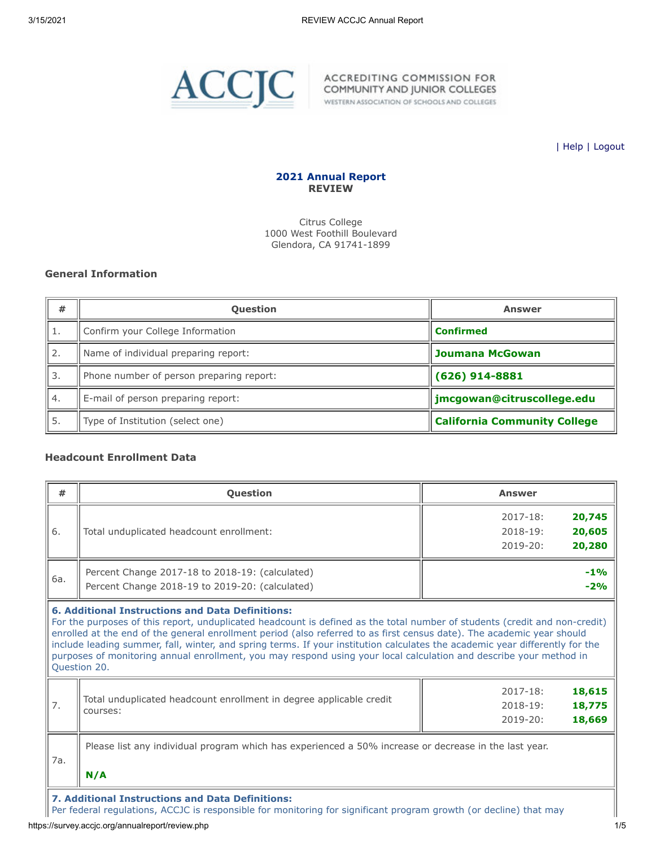

WESTERN ASSOCIATION OF SCHOOLS AND COLLEGES

| [Help](javascript:newPopup() | [Logout](https://survey.accjc.org/annualreport/logout.php)

## **2021 Annual Report REVIEW**

Citrus College 1000 West Foothill Boulevard Glendora, CA 91741-1899

# **General Information**

| #                | <b>Question</b>                          | Answer                              |
|------------------|------------------------------------------|-------------------------------------|
|                  | Confirm your College Information         | <b>Confirmed</b>                    |
| 2.               | Name of individual preparing report:     | <b>Joumana McGowan</b>              |
| 3.               | Phone number of person preparing report: | $(626)$ 914-8881                    |
| $\overline{4}$ . | E-mail of person preparing report:       | jmcgowan@citruscollege.edu          |
| 5.               | Type of Institution (select one)         | <b>California Community College</b> |

# **Headcount Enrollment Data**

|     | <b>Question</b>                                                                                                                                                                                                                                                                                                                                                                                                                                                                                                                                                                       | <b>Answer</b>                                                              |
|-----|---------------------------------------------------------------------------------------------------------------------------------------------------------------------------------------------------------------------------------------------------------------------------------------------------------------------------------------------------------------------------------------------------------------------------------------------------------------------------------------------------------------------------------------------------------------------------------------|----------------------------------------------------------------------------|
| 6.  | Total unduplicated headcount enrollment:                                                                                                                                                                                                                                                                                                                                                                                                                                                                                                                                              | 20,745<br>$2017 - 18:$<br>20,605<br>$2018 - 19:$<br>20,280<br>$2019 - 20:$ |
| 6а. | Percent Change 2017-18 to 2018-19: (calculated)<br>Percent Change 2018-19 to 2019-20: (calculated)                                                                                                                                                                                                                                                                                                                                                                                                                                                                                    | $-1%$<br>$-2%$                                                             |
|     | <b>6. Additional Instructions and Data Definitions:</b><br>For the purposes of this report, unduplicated headcount is defined as the total number of students (credit and non-credit)<br>enrolled at the end of the general enrollment period (also referred to as first census date). The academic year should<br>include leading summer, fall, winter, and spring terms. If your institution calculates the academic year differently for the<br>purposes of monitoring annual enrollment, you may respond using your local calculation and describe your method in<br>Question 20. |                                                                            |
| 7.  | Total unduplicated headcount enrollment in degree applicable credit<br>courses:                                                                                                                                                                                                                                                                                                                                                                                                                                                                                                       | 18,615<br>$2017 - 18:$<br>18,775<br>2018-19:<br>18,669<br>$2019 - 20:$     |
| 7a. | Please list any individual program which has experienced a 50% increase or decrease in the last year.<br>N/A                                                                                                                                                                                                                                                                                                                                                                                                                                                                          |                                                                            |

**7. Additional Instructions and Data Definitions:**

Per federal regulations, ACCJC is responsible for monitoring for significant program growth (or decline) that may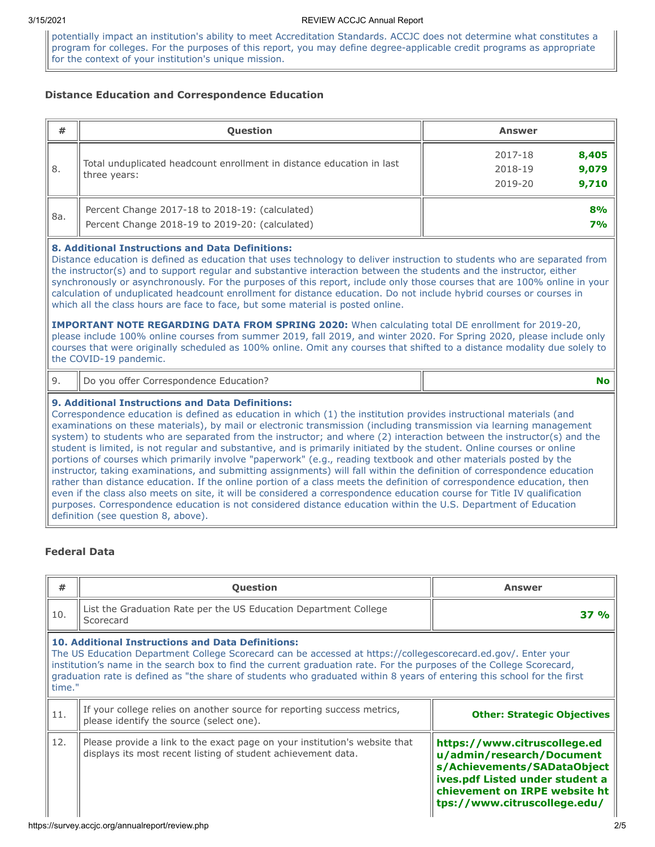potentially impact an institution's ability to meet Accreditation Standards. ACCJC does not determine what constitutes a program for colleges. For the purposes of this report, you may define degree-applicable credit programs as appropriate for the context of your institution's unique mission.

# **Distance Education and Correspondence Education**

| #   | <b>Question</b>                                                                                    | <b>Answer</b>                                            |
|-----|----------------------------------------------------------------------------------------------------|----------------------------------------------------------|
| 8.  | Total unduplicated headcount enrollment in distance education in last<br>three years:              | 8,405<br>2017-18<br>9,079<br>2018-19<br>9,710<br>2019-20 |
| 8a. | Percent Change 2017-18 to 2018-19: (calculated)<br>Percent Change 2018-19 to 2019-20: (calculated) | 8%<br>7%                                                 |

### **8. Additional Instructions and Data Definitions:**

Distance education is defined as education that uses technology to deliver instruction to students who are separated from the instructor(s) and to support regular and substantive interaction between the students and the instructor, either synchronously or asynchronously. For the purposes of this report, include only those courses that are 100% online in your calculation of unduplicated headcount enrollment for distance education. Do not include hybrid courses or courses in which all the class hours are face to face, but some material is posted online.

**IMPORTANT NOTE REGARDING DATA FROM SPRING 2020:** When calculating total DE enrollment for 2019-20, please include 100% online courses from summer 2019, fall 2019, and winter 2020. For Spring 2020, please include only courses that were originally scheduled as 100% online. Omit any courses that shifted to a distance modality due solely to the COVID-19 pandemic.

# 9. Do you offer Correspondence Education? **No**

#### **9. Additional Instructions and Data Definitions:**

Correspondence education is defined as education in which (1) the institution provides instructional materials (and examinations on these materials), by mail or electronic transmission (including transmission via learning management system) to students who are separated from the instructor; and where (2) interaction between the instructor(s) and the student is limited, is not regular and substantive, and is primarily initiated by the student. Online courses or online portions of courses which primarily involve "paperwork" (e.g., reading textbook and other materials posted by the instructor, taking examinations, and submitting assignments) will fall within the definition of correspondence education rather than distance education. If the online portion of a class meets the definition of correspondence education, then even if the class also meets on site, it will be considered a correspondence education course for Title IV qualification purposes. Correspondence education is not considered distance education within the U.S. Department of Education definition (see question 8, above).

### **Federal Data**

| #                                                                                                                                                                | <b>Question</b>                                                                                                                                                                                                                                                                                                                                                                                                                        | <b>Answer</b>                                                                                                                                                                                |  |  |  |  |
|------------------------------------------------------------------------------------------------------------------------------------------------------------------|----------------------------------------------------------------------------------------------------------------------------------------------------------------------------------------------------------------------------------------------------------------------------------------------------------------------------------------------------------------------------------------------------------------------------------------|----------------------------------------------------------------------------------------------------------------------------------------------------------------------------------------------|--|--|--|--|
| 10.                                                                                                                                                              | List the Graduation Rate per the US Education Department College<br>Scorecard                                                                                                                                                                                                                                                                                                                                                          | 37 %                                                                                                                                                                                         |  |  |  |  |
|                                                                                                                                                                  | <b>10. Additional Instructions and Data Definitions:</b><br>The US Education Department College Scorecard can be accessed at https://collegescorecard.ed.gov/. Enter your<br>institution's name in the search box to find the current graduation rate. For the purposes of the College Scorecard,<br>graduation rate is defined as "the share of students who graduated within 8 years of entering this school for the first<br>time." |                                                                                                                                                                                              |  |  |  |  |
| If your college relies on another source for reporting success metrics,<br>11.<br><b>Other: Strategic Objectives</b><br>please identify the source (select one). |                                                                                                                                                                                                                                                                                                                                                                                                                                        |                                                                                                                                                                                              |  |  |  |  |
| 12.                                                                                                                                                              | Please provide a link to the exact page on your institution's website that<br>displays its most recent listing of student achievement data.                                                                                                                                                                                                                                                                                            | https://www.citruscollege.ed<br>u/admin/research/Document<br>s/Achievements/SADataObject<br>ives.pdf Listed under student a<br>chievement on IRPE website ht<br>tps://www.citruscollege.edu/ |  |  |  |  |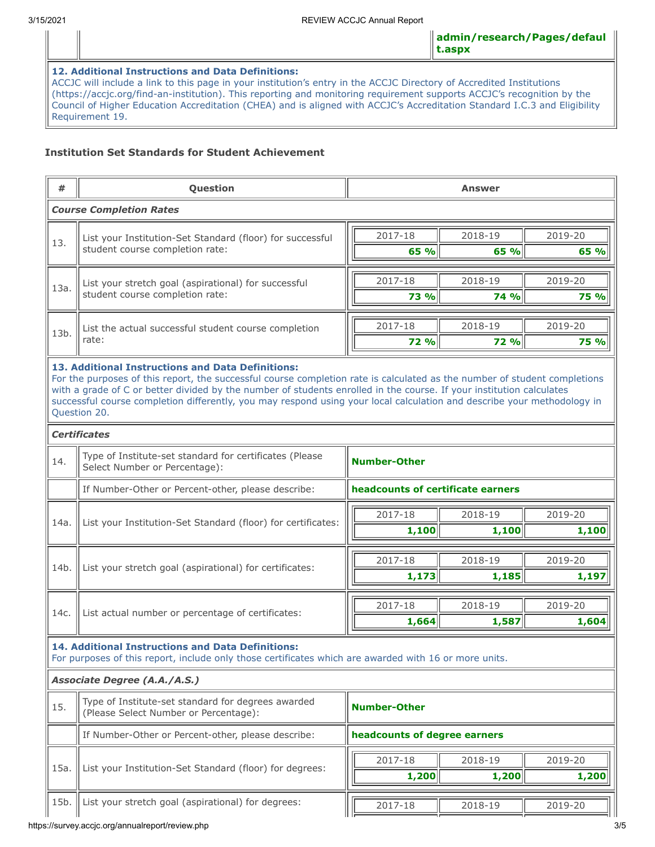# **12. Additional Instructions and Data Definitions:**

ACCJC will include a link to this page in your institution's entry in the ACCJC Directory of Accredited Institutions (https://accjc.org/find-an-institution). This reporting and monitoring requirement supports ACCJC's recognition by the Council of Higher Education Accreditation (CHEA) and is aligned with ACCJC's Accreditation Standard I.C.3 and Eligibility Requirement 19.

# **Institution Set Standards for Student Achievement**

| #                   | Question                                                                                                                                                                                                                                                                                                                                                                                                                                                                 |                              | <b>Answer</b>                     |             |             |  |  |  |
|---------------------|--------------------------------------------------------------------------------------------------------------------------------------------------------------------------------------------------------------------------------------------------------------------------------------------------------------------------------------------------------------------------------------------------------------------------------------------------------------------------|------------------------------|-----------------------------------|-------------|-------------|--|--|--|
|                     | <b>Course Completion Rates</b>                                                                                                                                                                                                                                                                                                                                                                                                                                           |                              |                                   |             |             |  |  |  |
|                     | List your Institution-Set Standard (floor) for successful                                                                                                                                                                                                                                                                                                                                                                                                                |                              | 2017-18                           | 2018-19     | 2019-20     |  |  |  |
| 13.<br>13a.<br>13b. | student course completion rate:                                                                                                                                                                                                                                                                                                                                                                                                                                          |                              | 65 %                              | 65 %        | 65 %        |  |  |  |
|                     | List your stretch goal (aspirational) for successful                                                                                                                                                                                                                                                                                                                                                                                                                     |                              | 2017-18                           | 2018-19     | 2019-20     |  |  |  |
|                     | student course completion rate:                                                                                                                                                                                                                                                                                                                                                                                                                                          |                              | <b>73 %</b>                       | 74 %        | 75 %        |  |  |  |
|                     |                                                                                                                                                                                                                                                                                                                                                                                                                                                                          |                              | 2017-18                           | 2018-19     | 2019-20     |  |  |  |
|                     | List the actual successful student course completion<br>rate:                                                                                                                                                                                                                                                                                                                                                                                                            |                              | <b>72 %</b>                       | <b>72 %</b> | <b>75 %</b> |  |  |  |
|                     | 13. Additional Instructions and Data Definitions:<br>For the purposes of this report, the successful course completion rate is calculated as the number of student completions<br>with a grade of C or better divided by the number of students enrolled in the course. If your institution calculates<br>successful course completion differently, you may respond using your local calculation and describe your methodology in<br>Question 20.<br><b>Certificates</b> |                              |                                   |             |             |  |  |  |
|                     |                                                                                                                                                                                                                                                                                                                                                                                                                                                                          |                              |                                   |             |             |  |  |  |
| 14.                 | Type of Institute-set standard for certificates (Please<br>Select Number or Percentage):                                                                                                                                                                                                                                                                                                                                                                                 |                              | <b>Number-Other</b>               |             |             |  |  |  |
|                     | If Number-Other or Percent-other, please describe:                                                                                                                                                                                                                                                                                                                                                                                                                       |                              | headcounts of certificate earners |             |             |  |  |  |
| 14a.                | List your Institution-Set Standard (floor) for certificates:                                                                                                                                                                                                                                                                                                                                                                                                             |                              | 2017-18                           | 2018-19     | 2019-20     |  |  |  |
|                     |                                                                                                                                                                                                                                                                                                                                                                                                                                                                          |                              | 1,100                             | 1,100       | 1,100       |  |  |  |
|                     | List your stretch goal (aspirational) for certificates:                                                                                                                                                                                                                                                                                                                                                                                                                  |                              | 2017-18                           | 2018-19     | 2019-20     |  |  |  |
| 14b.                |                                                                                                                                                                                                                                                                                                                                                                                                                                                                          |                              | 1,173                             | 1,185       | 1,197       |  |  |  |
|                     |                                                                                                                                                                                                                                                                                                                                                                                                                                                                          |                              | 2017-18                           | 2018-19     | 2019-20     |  |  |  |
| 14c.                | List actual number or percentage of certificates:                                                                                                                                                                                                                                                                                                                                                                                                                        |                              | 1,664                             | 1,587       | 1,604       |  |  |  |
|                     | <b>14. Additional Instructions and Data Definitions:</b><br>For purposes of this report, include only those certificates which are awarded with 16 or more units.                                                                                                                                                                                                                                                                                                        |                              |                                   |             |             |  |  |  |
|                     | Associate Degree (A.A./A.S.)                                                                                                                                                                                                                                                                                                                                                                                                                                             |                              |                                   |             |             |  |  |  |
| 15.                 | Type of Institute-set standard for degrees awarded<br>(Please Select Number or Percentage):                                                                                                                                                                                                                                                                                                                                                                              | <b>Number-Other</b>          |                                   |             |             |  |  |  |
|                     | If Number-Other or Percent-other, please describe:                                                                                                                                                                                                                                                                                                                                                                                                                       | headcounts of degree earners |                                   |             |             |  |  |  |
| 15a.                | List your Institution-Set Standard (floor) for degrees:                                                                                                                                                                                                                                                                                                                                                                                                                  |                              | 2017-18                           | 2018-19     | 2019-20     |  |  |  |
|                     |                                                                                                                                                                                                                                                                                                                                                                                                                                                                          |                              | 1,200                             | 1,200       | 1,200       |  |  |  |
| 15b.                | List your stretch goal (aspirational) for degrees:                                                                                                                                                                                                                                                                                                                                                                                                                       |                              | 2017-18                           | 2018-19     | 2019-20     |  |  |  |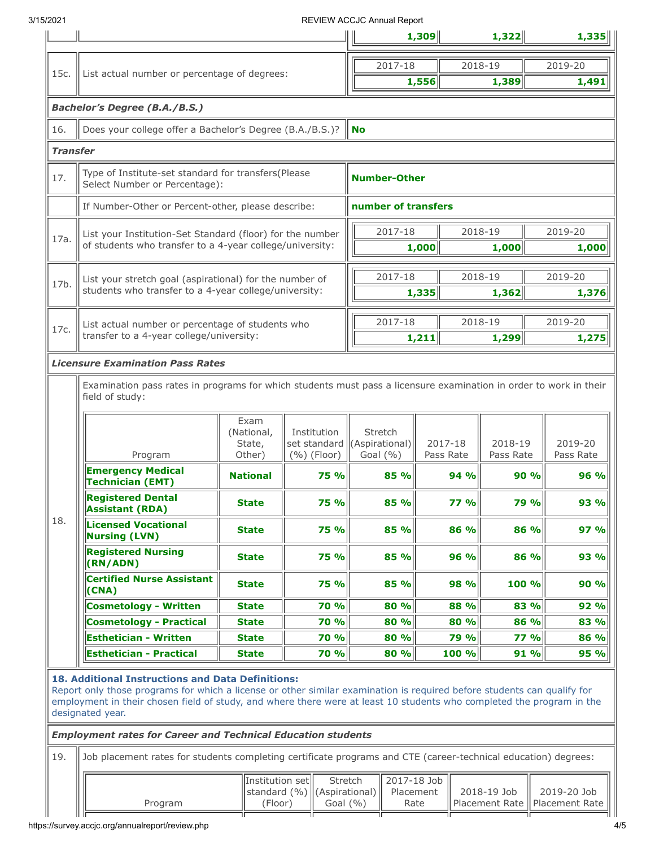# 3/15/2021 REVIEW ACCJC Annual Report

|                 |                                                                                                                                                                                                                                                                                                                           |                                                                               |                                             |                               |                                                                  | 1,309                         |                      | 1,322       |                               | 1,335                |  |  |  |
|-----------------|---------------------------------------------------------------------------------------------------------------------------------------------------------------------------------------------------------------------------------------------------------------------------------------------------------------------------|-------------------------------------------------------------------------------|---------------------------------------------|-------------------------------|------------------------------------------------------------------|-------------------------------|----------------------|-------------|-------------------------------|----------------------|--|--|--|
|                 |                                                                                                                                                                                                                                                                                                                           |                                                                               |                                             |                               | 2017-18                                                          |                               | 2018-19              |             |                               | 2019-20              |  |  |  |
| 15c.            | List actual number or percentage of degrees:                                                                                                                                                                                                                                                                              |                                                                               |                                             |                               |                                                                  | 1,556                         |                      | 1,389       |                               | 1,491                |  |  |  |
|                 | <b>Bachelor's Degree (B.A./B.S.)</b>                                                                                                                                                                                                                                                                                      |                                                                               |                                             |                               |                                                                  |                               |                      |             |                               |                      |  |  |  |
|                 |                                                                                                                                                                                                                                                                                                                           |                                                                               |                                             |                               |                                                                  |                               |                      |             |                               |                      |  |  |  |
| 16.             | Does your college offer a Bachelor's Degree (B.A./B.S.)?                                                                                                                                                                                                                                                                  |                                                                               |                                             | <b>No</b>                     |                                                                  |                               |                      |             |                               |                      |  |  |  |
| <b>Transfer</b> |                                                                                                                                                                                                                                                                                                                           |                                                                               |                                             |                               |                                                                  |                               |                      |             |                               |                      |  |  |  |
| 17.             | Select Number or Percentage):                                                                                                                                                                                                                                                                                             | Type of Institute-set standard for transfers(Please<br><b>Number-Other</b>    |                                             |                               |                                                                  |                               |                      |             |                               |                      |  |  |  |
|                 | If Number-Other or Percent-other, please describe:                                                                                                                                                                                                                                                                        |                                                                               |                                             | number of transfers           |                                                                  |                               |                      |             |                               |                      |  |  |  |
|                 | List your Institution-Set Standard (floor) for the number                                                                                                                                                                                                                                                                 |                                                                               |                                             | 2017-18<br>2018-19<br>2019-20 |                                                                  |                               |                      |             |                               |                      |  |  |  |
| 17a.            | of students who transfer to a 4-year college/university:                                                                                                                                                                                                                                                                  |                                                                               |                                             |                               |                                                                  | 1,000                         |                      | 1,000       |                               | 1,000                |  |  |  |
|                 |                                                                                                                                                                                                                                                                                                                           |                                                                               |                                             |                               |                                                                  |                               |                      |             |                               |                      |  |  |  |
| 17b.            | List your stretch goal (aspirational) for the number of<br>students who transfer to a 4-year college/university:                                                                                                                                                                                                          |                                                                               |                                             |                               | 2017-18<br>1,335                                                 |                               | 2018-19              | 1,362       |                               | 2019-20<br>1,376     |  |  |  |
|                 |                                                                                                                                                                                                                                                                                                                           |                                                                               |                                             |                               |                                                                  |                               |                      |             |                               |                      |  |  |  |
| 17c.            | List actual number or percentage of students who                                                                                                                                                                                                                                                                          |                                                                               |                                             |                               | 2017-18                                                          |                               | 2018-19              |             |                               | 2019-20              |  |  |  |
|                 | transfer to a 4-year college/university:                                                                                                                                                                                                                                                                                  |                                                                               |                                             |                               |                                                                  | 1,211                         |                      | 1,299       |                               | 1,275                |  |  |  |
|                 | <b>Licensure Examination Pass Rates</b><br>Examination pass rates in programs for which students must pass a licensure examination in order to work in their<br>field of study:                                                                                                                                           |                                                                               |                                             |                               |                                                                  |                               |                      |             |                               |                      |  |  |  |
|                 | Program                                                                                                                                                                                                                                                                                                                   | Exam<br>(National,<br>State,<br>Other)                                        | Institution<br>set standard<br>(%) (Floor)  |                               | Stretch<br>(Aspirational)<br>2017-18<br>Goal $(% )$<br>Pass Rate |                               | 2018-19<br>Pass Rate |             |                               | 2019-20<br>Pass Rate |  |  |  |
|                 | <b>Emergency Medical</b><br><b>Technician (EMT)</b>                                                                                                                                                                                                                                                                       | <b>National</b>                                                               | 75 %                                        |                               | 85 %                                                             |                               | 94 %                 | 90%         |                               | 96%                  |  |  |  |
|                 | <b>Registered Dental</b><br><b>Assistant (RDA)</b>                                                                                                                                                                                                                                                                        | <b>State</b>                                                                  | <b>75 %</b>                                 |                               | 85 %                                                             |                               | <b>77 %</b>          | 79 %        |                               | 93 %                 |  |  |  |
| 18.             | <b>Licensed Vocational</b><br><b>Nursing (LVN)</b>                                                                                                                                                                                                                                                                        | <b>State</b>                                                                  | 75 %                                        |                               | 85 %                                                             |                               | 86 %                 | 86 %        |                               | 97 %                 |  |  |  |
|                 | <b>Registered Nursing</b><br>(RN/ADN)                                                                                                                                                                                                                                                                                     | <b>State</b>                                                                  | 75 %                                        |                               | 85 %                                                             |                               | 96 %                 | 86 %        |                               | 93 %                 |  |  |  |
|                 | <b>Certified Nurse Assistant</b><br>(CNA)                                                                                                                                                                                                                                                                                 | <b>State</b>                                                                  | 75 %                                        |                               | 85 %                                                             |                               | 98 %                 | 100 %       |                               | 90 %                 |  |  |  |
|                 | <b>Cosmetology - Written</b>                                                                                                                                                                                                                                                                                              | <b>State</b>                                                                  | <b>70 %</b>                                 |                               | 80 %                                                             |                               | 88 %                 | 83 %        |                               | 92 %                 |  |  |  |
|                 | <b>Cosmetology - Practical</b>                                                                                                                                                                                                                                                                                            | <b>State</b>                                                                  | <b>70 %</b>                                 |                               | 80 %                                                             |                               | 80 %                 | 86 %        |                               | 83 %                 |  |  |  |
|                 | <b>Esthetician - Written</b>                                                                                                                                                                                                                                                                                              | <b>State</b>                                                                  | <b>70 %</b>                                 |                               | 80 %                                                             |                               | 79 %                 | <b>77 %</b> |                               | 86 %                 |  |  |  |
|                 | <b>Esthetician - Practical</b>                                                                                                                                                                                                                                                                                            | <b>State</b>                                                                  | 70 %                                        |                               | 80 %                                                             |                               | 100 %                | 91 %        |                               | 95 %                 |  |  |  |
|                 | 18. Additional Instructions and Data Definitions:<br>Report only those programs for which a license or other similar examination is required before students can qualify for<br>employment in their chosen field of study, and where there were at least 10 students who completed the program in the<br>designated year. |                                                                               |                                             |                               |                                                                  |                               |                      |             |                               |                      |  |  |  |
|                 | <b>Employment rates for Career and Technical Education students</b>                                                                                                                                                                                                                                                       |                                                                               |                                             |                               |                                                                  |                               |                      |             |                               |                      |  |  |  |
| 19.             | Job placement rates for students completing certificate programs and CTE (career-technical education) degrees:                                                                                                                                                                                                            |                                                                               |                                             |                               |                                                                  |                               |                      |             |                               |                      |  |  |  |
|                 | Program                                                                                                                                                                                                                                                                                                                   | Institution set<br>standard $(\% )$ (Aspirational)<br>(Floor)<br>Goal $(\% )$ | 2017-18 Job<br>Stretch<br>Placement<br>Rate |                               |                                                                  | 2018-19 Job<br>Placement Rate |                      |             | 2019-20 Job<br>Placement Rate |                      |  |  |  |
|                 |                                                                                                                                                                                                                                                                                                                           |                                                                               |                                             |                               |                                                                  |                               |                      |             |                               |                      |  |  |  |